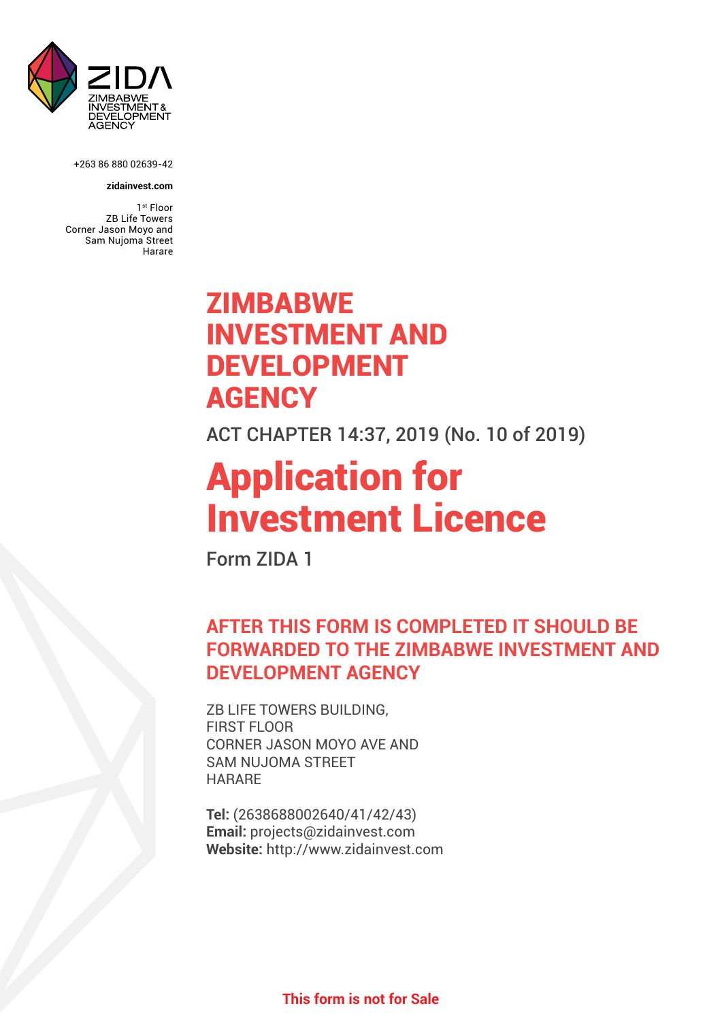

+263 86 880 02639-42

#### **zidainvest.com**

1<sup>st</sup> Floor ZB Life Towers Corner Jason Moyo and Sam Nujoma Street Harare

## **ZIMBABWE** INVESTMENT AND DEVELOPMENT **AGENCY**

ACT CHAPTER 14:37, 2019 (No. 10 of 2019)

# Application for Investment Licence

Form ZIDA 1

## **AFTER THIS FORM IS COMPLETED IT SHOULD BE FORWARDED TO THE ZIMBABWE INVESTMENT AND DEVELOPMENT AGENCY**

ZB LIFE TOWERS BUILDING, FIRST FLOOR CORNER JASON MOYO AVE AND SAM NUJOMA STREET **HARARE** 

**Tel:** (2638688002640/41/42/43) **Email:** projects@zidainvest.com **Website:** http://www.zidainvest.com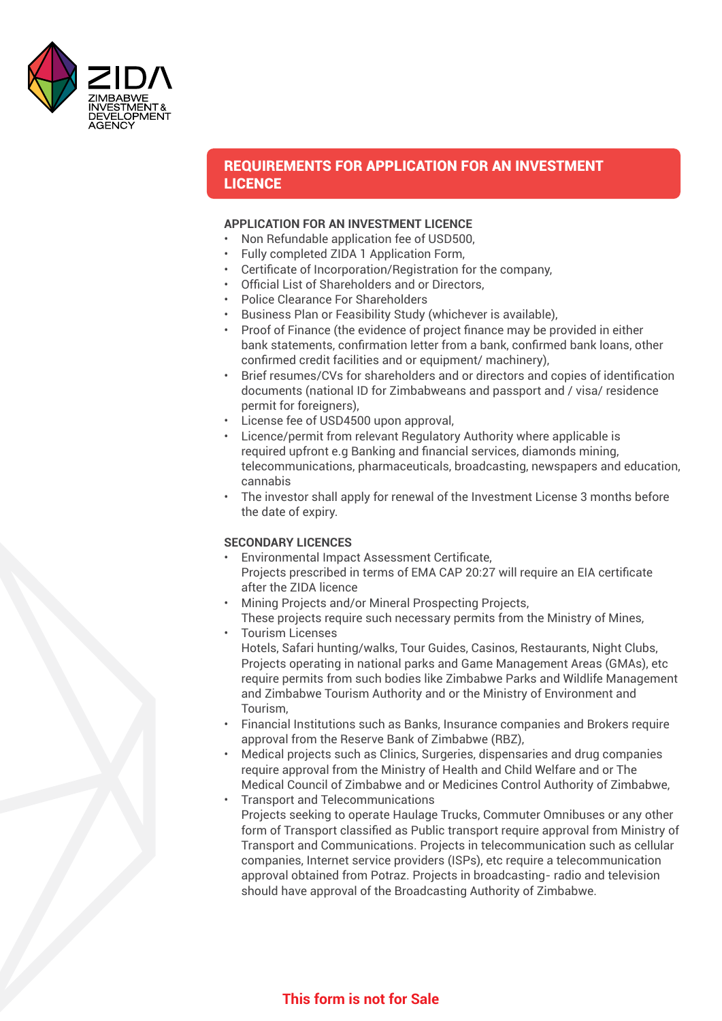

#### REQUIREMENTS FOR APPLICATION FOR AN INVESTMENT LICENCE

#### **APPLICATION FOR AN INVESTMENT LICENCE**

- Non Refundable application fee of USD500,
- Fully completed ZIDA 1 Application Form,
- Certificate of Incorporation/Registration for the company,
- Official List of Shareholders and or Directors,
- Police Clearance For Shareholders
- Business Plan or Feasibility Study (whichever is available),
- Proof of Finance (the evidence of project finance may be provided in either bank statements, confirmation letter from a bank, confirmed bank loans, other confirmed credit facilities and or equipment/ machinery),
- Brief resumes/CVs for shareholders and or directors and copies of identification documents (national ID for Zimbabweans and passport and / visa/ residence permit for foreigners),
- License fee of USD4500 upon approval,
- • Licence/permit from relevant Regulatory Authority where applicable is required upfront e.g Banking and financial services, diamonds mining, telecommunications, pharmaceuticals, broadcasting, newspapers and education, cannabis
- The investor shall apply for renewal of the Investment License 3 months before the date of expiry.

#### **SECONDARY LICENCES**

- **Environmental Impact Assessment Certificate,**  Projects prescribed in terms of EMA CAP 20:27 will require an EIA certificate after the ZIDA licence
- • Mining Projects and/or Mineral Prospecting Projects,
- These projects require such necessary permits from the Ministry of Mines, • Tourism Licenses
	- Hotels, Safari hunting/walks, Tour Guides, Casinos, Restaurants, Night Clubs, Projects operating in national parks and Game Management Areas (GMAs), etc require permits from such bodies like Zimbabwe Parks and Wildlife Management and Zimbabwe Tourism Authority and or the Ministry of Environment and Tourism,
- • Financial Institutions such as Banks, Insurance companies and Brokers require approval from the Reserve Bank of Zimbabwe (RBZ),
- Medical projects such as Clinics, Surgeries, dispensaries and drug companies require approval from the Ministry of Health and Child Welfare and or The Medical Council of Zimbabwe and or Medicines Control Authority of Zimbabwe,
- Transport and Telecommunications Projects seeking to operate Haulage Trucks, Commuter Omnibuses or any other form of Transport classified as Public transport require approval from Ministry of Transport and Communications. Projects in telecommunication such as cellular companies, Internet service providers (ISPs), etc require a telecommunication approval obtained from Potraz. Projects in broadcasting- radio and television should have approval of the Broadcasting Authority of Zimbabwe.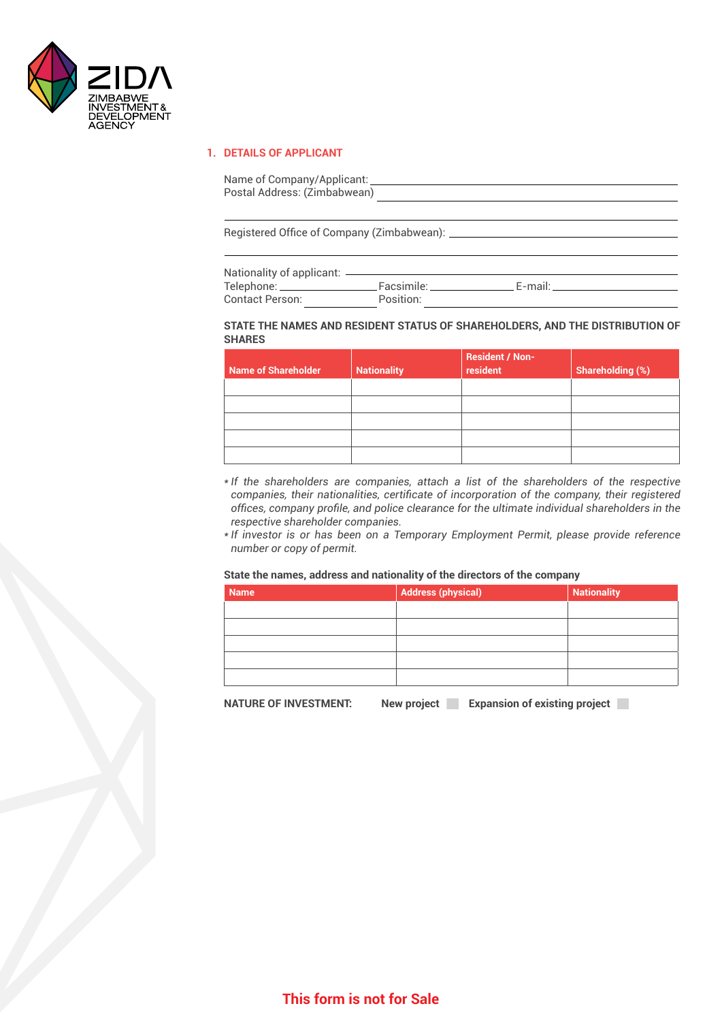

#### **1. DETAILS OF APPLICANT**

| Name of Company/Applicant:<br>Postal Address: (Zimbabwean) |
|------------------------------------------------------------|
|                                                            |
| Registered Office of Company (Zimbabwean):                 |
|                                                            |

| Nationality of applicant: - |            |         |
|-----------------------------|------------|---------|
| Telephone: __               | Facsimile: | F-mail: |
| Contact Person:             | Position:  |         |

#### **STATE THE NAMES AND RESIDENT STATUS OF SHAREHOLDERS, AND THE DISTRIBUTION OF SHARES**

| <b>Name of Shareholder</b> | <b>Nationality</b> | <b>Resident / Non-</b><br>resident | <b>Shareholding (%)</b> |
|----------------------------|--------------------|------------------------------------|-------------------------|
|                            |                    |                                    |                         |
|                            |                    |                                    |                         |
|                            |                    |                                    |                         |
|                            |                    |                                    |                         |
|                            |                    |                                    |                         |

- *\* If the shareholders are companies, attach a list of the shareholders of the respective companies, their nationalities, certificate of incorporation of the company, their registered offices, company profile, and police clearance for the ultimate individual shareholders in the respective shareholder companies.*
- *\* If investor is or has been on a Temporary Employment Permit, please provide reference number or copy of permit.*

#### **State the names, address and nationality of the directors of the company**

| Name | <b>Address (physical)</b> | <b>Nationality</b> |
|------|---------------------------|--------------------|
|      |                           |                    |
|      |                           |                    |
|      |                           |                    |
|      |                           |                    |
|      |                           |                    |

**NATURE OF INVESTMENT:** New project Expansion of existing project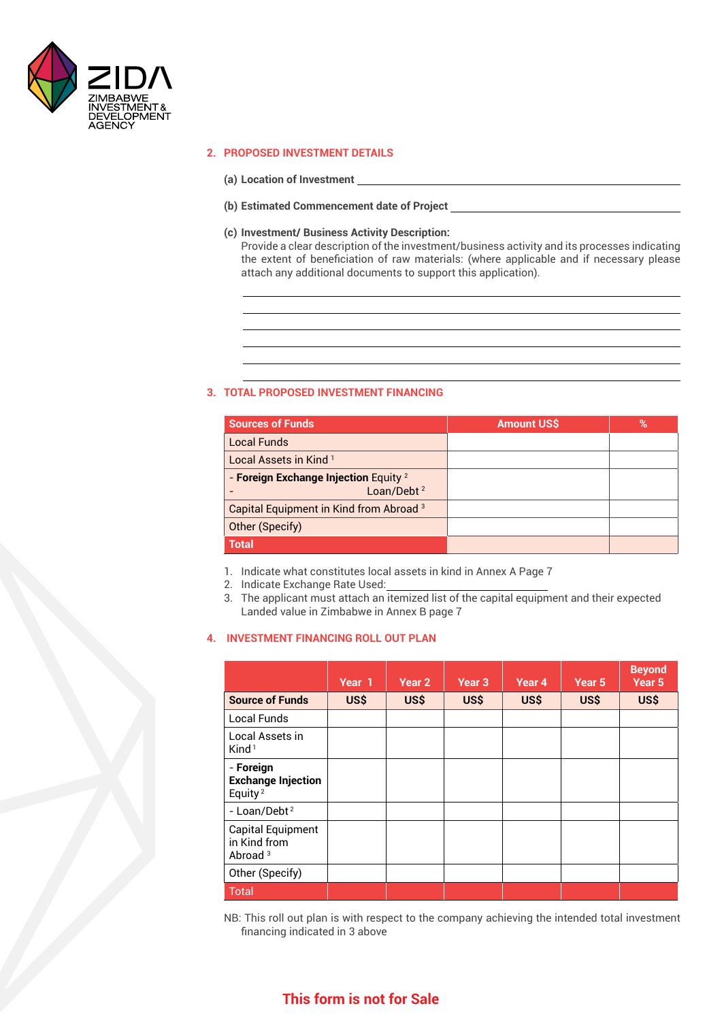

#### **2. PROPOSED INVESTMENT DETAILS**

- **(a) Location of Investment**
- **(b) Estimated Commencement date of Project**
- **(c) Investment/ Business Activity Description:**

 Provide a clear description of the investment/business activity and its processes indicating the extent of beneficiation of raw materials: (where applicable and if necessary please attach any additional documents to support this application).

#### **3. TOTAL PROPOSED INVESTMENT FINANCING**

| <b>Sources of Funds</b>                                                    | <b>Amount US\$</b> | % |
|----------------------------------------------------------------------------|--------------------|---|
| <b>Local Funds</b>                                                         |                    |   |
| Local Assets in Kind <sup>1</sup>                                          |                    |   |
| - Foreign Exchange Injection Equity <sup>2</sup><br>Loan/Debt <sup>2</sup> |                    |   |
| Capital Equipment in Kind from Abroad <sup>3</sup>                         |                    |   |
| Other (Specify)                                                            |                    |   |
| <b>Total</b>                                                               |                    |   |

1. Indicate what constitutes local assets in kind in Annex A Page 7

2. Indicate Exchange Rate Used:

3. The applicant must attach an itemized list of the capital equipment and their expected Landed value in Zimbabwe in Annex B page 7

#### **4. INVESTMENT FINANCING ROLL OUT PLAN**

|                                                               | Year 1 | Year 2 | Year 3 | Year <sub>4</sub> | Year <sub>5</sub> | <b>Beyond</b><br>Year <sub>5</sub> |
|---------------------------------------------------------------|--------|--------|--------|-------------------|-------------------|------------------------------------|
| <b>Source of Funds</b>                                        | US\$   | US\$   | US\$   | US\$              | US\$              | US\$                               |
| <b>Local Funds</b>                                            |        |        |        |                   |                   |                                    |
| Local Assets in<br>Kind <sup>1</sup>                          |        |        |        |                   |                   |                                    |
| - Foreign<br><b>Exchange Injection</b><br>Equity <sup>2</sup> |        |        |        |                   |                   |                                    |
| - Loan/Debt <sup>2</sup>                                      |        |        |        |                   |                   |                                    |
| <b>Capital Equipment</b><br>in Kind from<br>Abroad $3$        |        |        |        |                   |                   |                                    |
| Other (Specify)                                               |        |        |        |                   |                   |                                    |
| <b>Total</b>                                                  |        |        |        |                   |                   |                                    |

NB: This roll out plan is with respect to the company achieving the intended total investment financing indicated in 3 above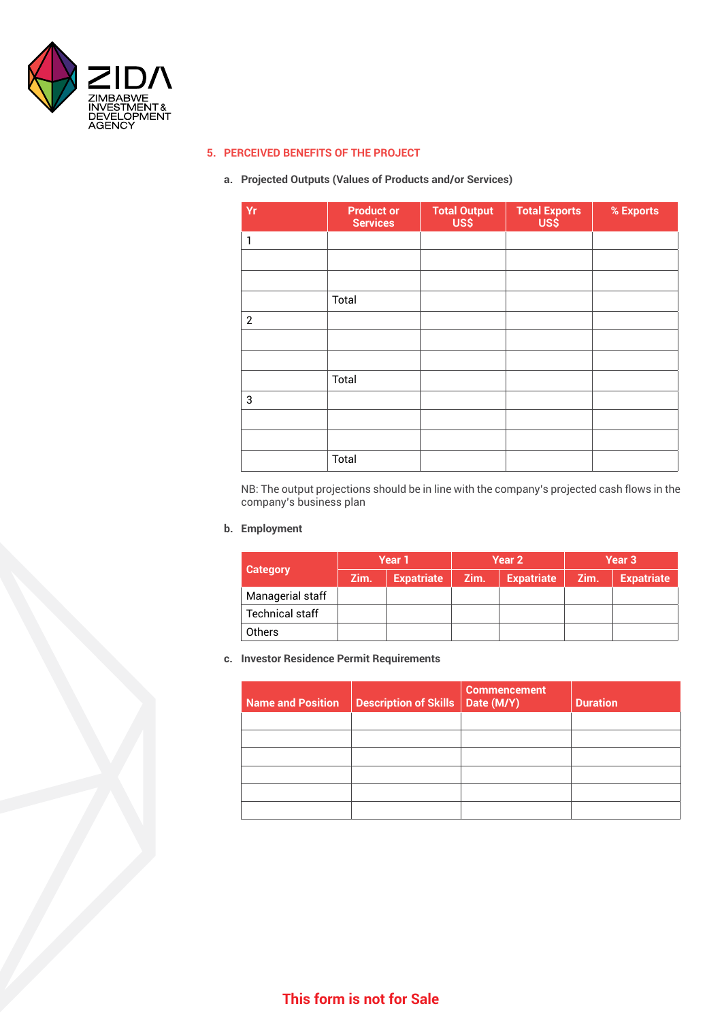

#### **5. PERCEIVED BENEFITS OF THE PROJECT**

#### **a. Projected Outputs (Values of Products and/or Services)**

| Yr             | <b>Product or</b><br><b>Services</b> | <b>Total Output</b><br>US\$ | <b>Total Exports</b><br>US\$ | % Exports |
|----------------|--------------------------------------|-----------------------------|------------------------------|-----------|
| 1              |                                      |                             |                              |           |
|                |                                      |                             |                              |           |
|                |                                      |                             |                              |           |
|                | Total                                |                             |                              |           |
| $\overline{2}$ |                                      |                             |                              |           |
|                |                                      |                             |                              |           |
|                |                                      |                             |                              |           |
|                | Total                                |                             |                              |           |
| 3              |                                      |                             |                              |           |
|                |                                      |                             |                              |           |
|                |                                      |                             |                              |           |
|                | Total                                |                             |                              |           |

NB: The output projections should be in line with the company's projected cash flows in the company's business plan

#### **b. Employment**

|                        |      | Year 1            | Year 2 |                   | Year 3 |                   |
|------------------------|------|-------------------|--------|-------------------|--------|-------------------|
| <b>Category</b>        | Zim. | <b>Expatriate</b> | Zim.   | <b>Expatriate</b> | Zim.   | <b>Expatriate</b> |
| Managerial staff       |      |                   |        |                   |        |                   |
| <b>Technical staff</b> |      |                   |        |                   |        |                   |
| <b>Others</b>          |      |                   |        |                   |        |                   |

#### **c. Investor Residence Permit Requirements**

| <b>Name and Position</b> | Description of Skills   Date (M/Y) | <b>Commencement</b> | <b>Duration</b> |
|--------------------------|------------------------------------|---------------------|-----------------|
|                          |                                    |                     |                 |
|                          |                                    |                     |                 |
|                          |                                    |                     |                 |
|                          |                                    |                     |                 |
|                          |                                    |                     |                 |
|                          |                                    |                     |                 |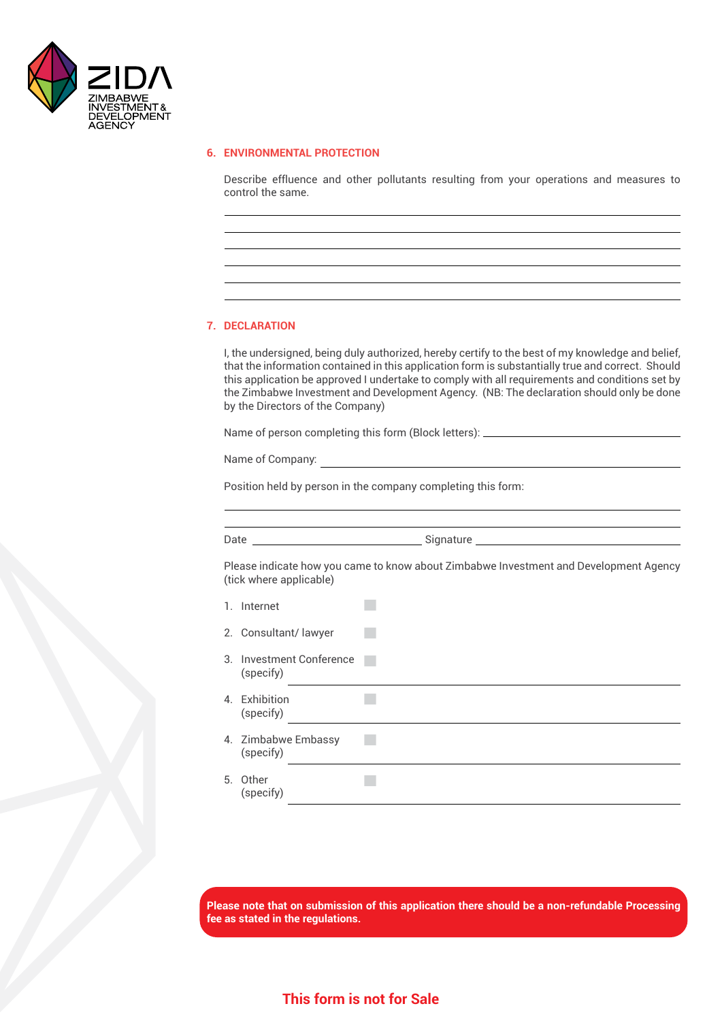

#### **6. ENVIRONMENTAL PROTECTION**

 Describe effluence and other pollutants resulting from your operations and measures to control the same.

#### **7. DECLARATION**

 I, the undersigned, being duly authorized, hereby certify to the best of my knowledge and belief, that the information contained in this application form is substantially true and correct. Should this application be approved I undertake to comply with all requirements and conditions set by the Zimbabwe Investment and Development Agency. (NB: The declaration should only be done by the Directors of the Company)

 Name of person completing this form (Block letters):

Name of Company:

 Position held by person in the company completing this form:

 $\mathcal{L}_{\mathcal{A}}$ 

Date <u>and the second of Signature</u> and Signature and Signature and Signature and Signature and Signature and Signature and Signature and Signature and Signature and Signature and Signature and Signature and Signature and S

 Please indicate how you came to know about Zimbabwe Investment and Development Agency (tick where applicable)

1. Internet

|    | 2. Consultant/lawyer               |  |
|----|------------------------------------|--|
| З. | Investment Conference<br>(specify) |  |
|    | المستحل والماريط                   |  |

| 4. Exhibition<br>(specify)       |  |
|----------------------------------|--|
| 4. Zimbabwe Embassy<br>(specify) |  |
| 5. Other                         |  |

5. Other (specify)

**Please note that on submission of this application there should be a non-refundable Processing fee as stated in the regulations.**